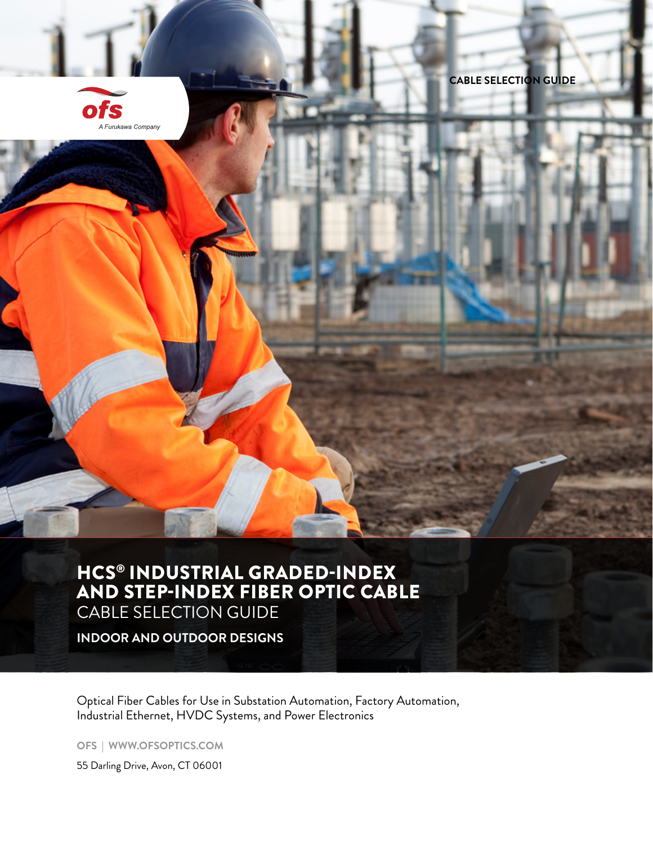

**CABLE SELECTION GUIDE**

## HCS® INDUSTRIAL GRADED-INDEX AND STEP-INDEX FIBER OPTIC CABLE

CABLE SELECTION GUIDE

**INDOOR AND OUTDOOR DESIGNS**

Optical Fiber Cables for Use in Substation Automation, Factory Automation, Industrial Ethernet, HVDC Systems, and Power Electronics

**OFS | WWW.OFSOPTICS.COM**

55 Darling Drive, Avon, CT 06001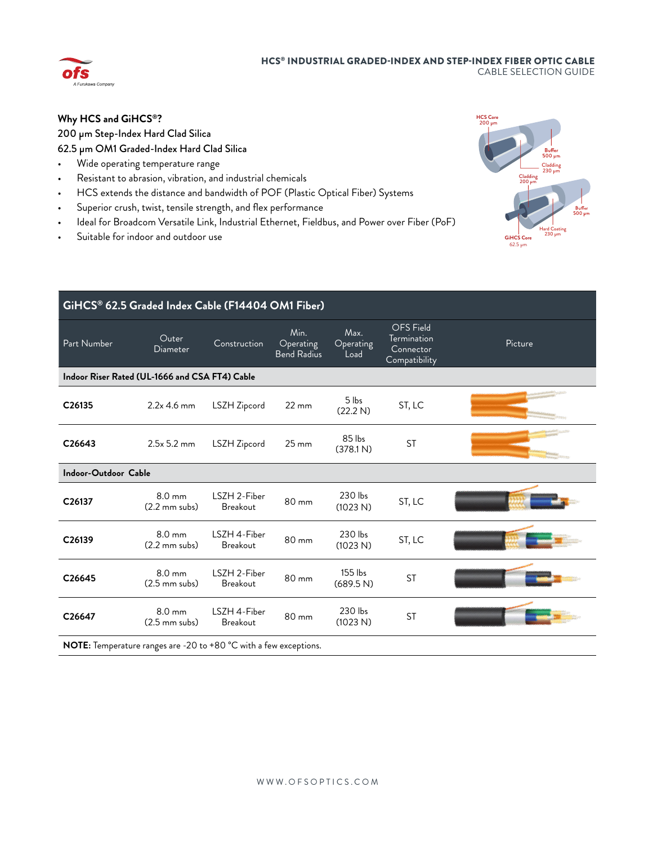## HCS® INDUSTRIAL GRADED-INDEX AND STEP-INDEX FIBER OPTIC CABLE CABLE SELECTION GUIDE



## **Why HCS and GiHCS®?**

## 200 μm Step-Index Hard Clad Silica 62.5 μm OM1 Graded-Index Hard Clad Silica

- Wide operating temperature range
- Resistant to abrasion, vibration, and industrial chemicals
- HCS extends the distance and bandwidth of POF (Plastic Optical Fiber) Systems
- Superior crush, twist, tensile strength, and flex performance
- Ideal for Broadcom Versatile Link, Industrial Ethernet, Fieldbus, and Power over Fiber (PoF)
- Suitable for indoor and outdoor use



| GiHCS® 62.5 Graded Index Cable (F14404 OM1 Fiber)                        |                                             |                                 |                                  |                           |                                                               |         |  |  |
|--------------------------------------------------------------------------|---------------------------------------------|---------------------------------|----------------------------------|---------------------------|---------------------------------------------------------------|---------|--|--|
| Part Number                                                              | Outer<br>Diameter                           | Construction                    | Min.<br>Operating<br>Bend Radius | Max.<br>Operating<br>Load | <b>OFS</b> Field<br>Termination<br>Connector<br>Compatibility | Picture |  |  |
| Indoor Riser Rated (UL-1666 and CSA FT4) Cable                           |                                             |                                 |                                  |                           |                                                               |         |  |  |
| C26135                                                                   | $2.2x$ 4.6 mm                               | LSZH Zipcord                    | $22 \, \text{mm}$                | 5 lbs<br>(22.2 N)         | ST, LC                                                        |         |  |  |
| C26643                                                                   | 2.5x 5.2 mm                                 | LSZH Zipcord                    | $25 \, \text{mm}$                | 85 lbs<br>(378.1 N)       | <b>ST</b>                                                     |         |  |  |
| <b>Indoor-Outdoor Cable</b>                                              |                                             |                                 |                                  |                           |                                                               |         |  |  |
| C26137                                                                   | $8.0 \text{ mm}$<br>$(2.2 \text{ mm subs})$ | LSZH 2-Fiber<br><b>Breakout</b> | 80 mm                            | 230 lbs<br>(1023 N)       | ST, LC                                                        |         |  |  |
| C26139                                                                   | $8.0 \text{ mm}$<br>$(2.2 \text{ mm subs})$ | LSZH 4-Fiber<br><b>Breakout</b> | 80 mm                            | 230 lbs<br>(1023 N)       | ST, LC                                                        |         |  |  |
| C26645                                                                   | $8.0 \text{ mm}$<br>$(2.5 \text{ mm subs})$ | LSZH 2-Fiber<br><b>Breakout</b> | 80 mm                            | 155 lbs<br>(689.5 N)      | <b>ST</b>                                                     |         |  |  |
| C26647                                                                   | $8.0 \text{ mm}$<br>$(2.5 \text{ mm subs})$ | LSZH 4-Fiber<br><b>Breakout</b> | 80 mm                            | 230 lbs<br>(1023 N)       | <b>ST</b>                                                     |         |  |  |
| <b>NOTE:</b> Temperature ranges are -20 to +80 °C with a few exceptions. |                                             |                                 |                                  |                           |                                                               |         |  |  |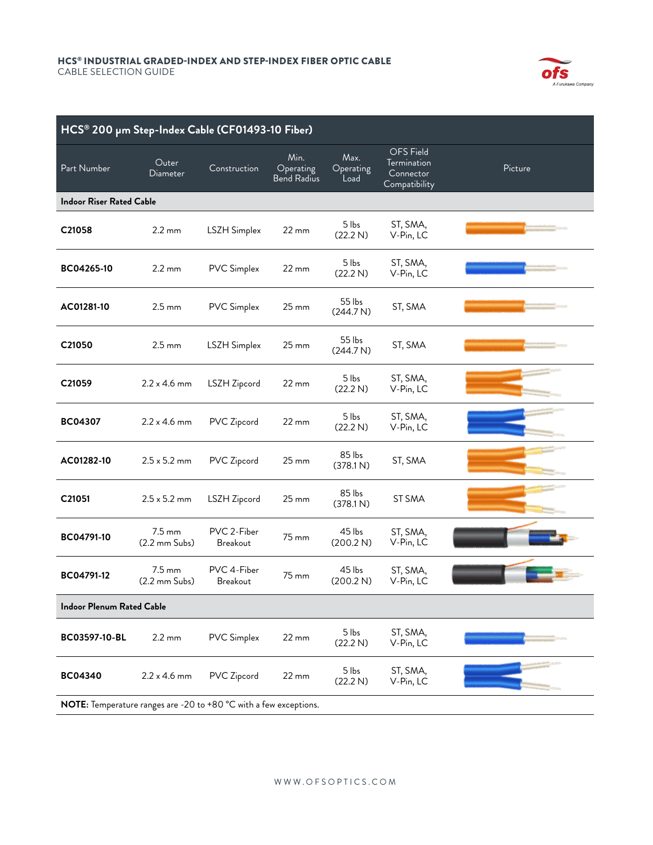

| HCS® 200 µm Step-Index Cable (CF01493-10 Fiber)                   |                                             |                                |                                         |                           |                                                               |         |  |
|-------------------------------------------------------------------|---------------------------------------------|--------------------------------|-----------------------------------------|---------------------------|---------------------------------------------------------------|---------|--|
| Part Number                                                       | Outer<br>Diameter                           | Construction                   | Min.<br>Operating<br><b>Bend Radius</b> | Max.<br>Operating<br>Load | <b>OFS</b> Field<br>Termination<br>Connector<br>Compatibility | Picture |  |
| <b>Indoor Riser Rated Cable</b>                                   |                                             |                                |                                         |                           |                                                               |         |  |
| C21058                                                            | $2.2 \text{ mm}$                            | LSZH Simplex                   | 22 mm                                   | 5 lbs<br>(22.2 N)         | ST, SMA,<br>V-Pin, LC                                         |         |  |
| BC04265-10                                                        | $2.2 \text{ mm}$                            | <b>PVC Simplex</b>             | $22 \, \text{mm}$                       | 5 lbs<br>(22.2 N)         | ST, SMA,<br>V-Pin, LC                                         |         |  |
| AC01281-10                                                        | $2.5 \text{ mm}$                            | <b>PVC Simplex</b>             | $25 \, \text{mm}$                       | 55 lbs<br>(244.7 N)       | ST, SMA                                                       |         |  |
| C21050                                                            | $2.5 \text{ mm}$                            | LSZH Simplex                   | $25 \, \text{mm}$                       | 55 lbs<br>(244.7 N)       | ST, SMA                                                       |         |  |
| C21059                                                            | $2.2 \times 4.6$ mm                         | LSZH Zipcord                   | 22 mm                                   | 5 lbs<br>(22.2 N)         | ST, SMA,<br>V-Pin, LC                                         |         |  |
| <b>BC04307</b>                                                    | $2.2 \times 4.6$ mm                         | PVC Zipcord                    | 22 mm                                   | 5 lbs<br>(22.2 N)         | ST, SMA,<br>V-Pin, LC                                         |         |  |
| AC01282-10                                                        | $2.5 \times 5.2 \text{ mm}$                 | PVC Zipcord                    | $25 \, \text{mm}$                       | 85 lbs<br>(378.1 N)       | ST, SMA                                                       |         |  |
| C21051                                                            | $2.5 \times 5.2 \text{ mm}$                 | LSZH Zipcord                   | $25 \, \text{mm}$                       | 85 lbs<br>(378.1 N)       | ST SMA                                                        |         |  |
| BC04791-10                                                        | $7.5 \text{ mm}$<br>$(2.2 \text{ mm}$ Subs) | PVC 2-Fiber<br>Breakout        | 75 mm                                   | 45 lbs<br>(200.2 N)       | ST, SMA,<br>V-Pin, LC                                         |         |  |
| BC04791-12                                                        | $7.5 \text{ mm}$<br>$(2.2 \text{ mm}$ Subs) | PVC 4-Fiber<br><b>Breakout</b> | 75 mm                                   | 45 lbs<br>(200.2 N)       | ST, SMA,<br>V-Pin, LC                                         |         |  |
| <b>Indoor Plenum Rated Cable</b>                                  |                                             |                                |                                         |                           |                                                               |         |  |
| BC03597-10-BL                                                     | $2.2 \text{ mm}$                            | <b>PVC</b> Simplex             | 22 mm                                   | 5 lbs<br>(22.2 N)         | ST, SMA,<br>V-Pin, LC                                         |         |  |
| <b>BC04340</b>                                                    | $2.2 \times 4.6$ mm                         | PVC Zipcord                    | 22 mm                                   | 5 lbs<br>(22.2 N)         | ST, SMA,<br>V-Pin, LC                                         |         |  |
| NOTE: Temperature ranges are -20 to +80 °C with a few exceptions. |                                             |                                |                                         |                           |                                                               |         |  |